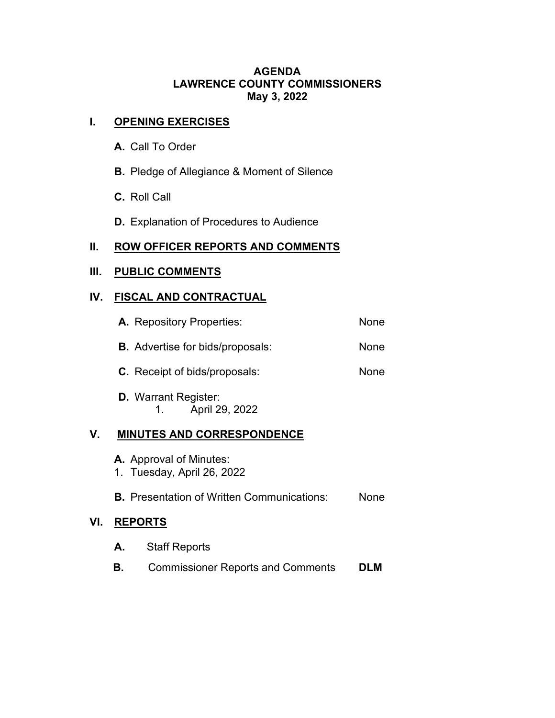### **AGENDA LAWRENCE COUNTY COMMISSIONERS May 3, 2022**

# **I. OPENING EXERCISES**

- **A.** Call To Order
- **B.** Pledge of Allegiance & Moment of Silence
- **C.** Roll Call
- **D.** Explanation of Procedures to Audience

## **II. ROW OFFICER REPORTS AND COMMENTS**

# **III. PUBLIC COMMENTS**

# **IV. FISCAL AND CONTRACTUAL**

|    | A. Repository Properties:                                    | <b>None</b> |
|----|--------------------------------------------------------------|-------------|
|    | <b>B.</b> Advertise for bids/proposals:                      | None        |
|    | <b>C.</b> Receipt of bids/proposals:                         | None        |
|    | <b>D.</b> Warrant Register:<br>April 29, 2022<br>1.          |             |
| V. | <b>MINUTES AND CORRESPONDENCE</b>                            |             |
|    | <b>A.</b> Approval of Minutes:<br>1. Tuesday, April 26, 2022 |             |

## **B.** Presentation of Written Communications: None

## **VI. REPORTS**

| <b>A.</b> Staff Reports                  |            |
|------------------------------------------|------------|
| <b>Commissioner Reports and Comments</b> | <b>DLM</b> |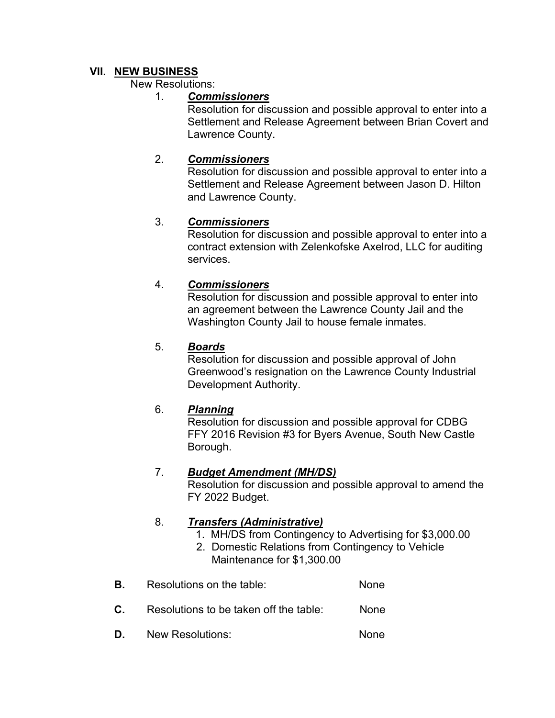## **VII. NEW BUSINESS**

#### New Resolutions:

### 1. *Commissioners*

Resolution for discussion and possible approval to enter into a Settlement and Release Agreement between Brian Covert and Lawrence County.

### 2. *Commissioners*

Resolution for discussion and possible approval to enter into a Settlement and Release Agreement between Jason D. Hilton and Lawrence County.

## 3. *Commissioners*

Resolution for discussion and possible approval to enter into a contract extension with Zelenkofske Axelrod, LLC for auditing services.

## 4. *Commissioners*

Resolution for discussion and possible approval to enter into an agreement between the Lawrence County Jail and the Washington County Jail to house female inmates.

### 5. *Boards*

Resolution for discussion and possible approval of John Greenwood's resignation on the Lawrence County Industrial Development Authority.

### 6. *Planning*

Resolution for discussion and possible approval for CDBG FFY 2016 Revision #3 for Byers Avenue, South New Castle Borough.

### 7. *Budget Amendment (MH/DS)*

Resolution for discussion and possible approval to amend the FY 2022 Budget.

### 8. *Transfers (Administrative)*

- 1. MH/DS from Contingency to Advertising for \$3,000.00
- 2. Domestic Relations from Contingency to Vehicle Maintenance for \$1,300.00
- **B.** Resolutions on the table: None
- **C.** Resolutions to be taken off the table: None
- **D.** New Resolutions: None